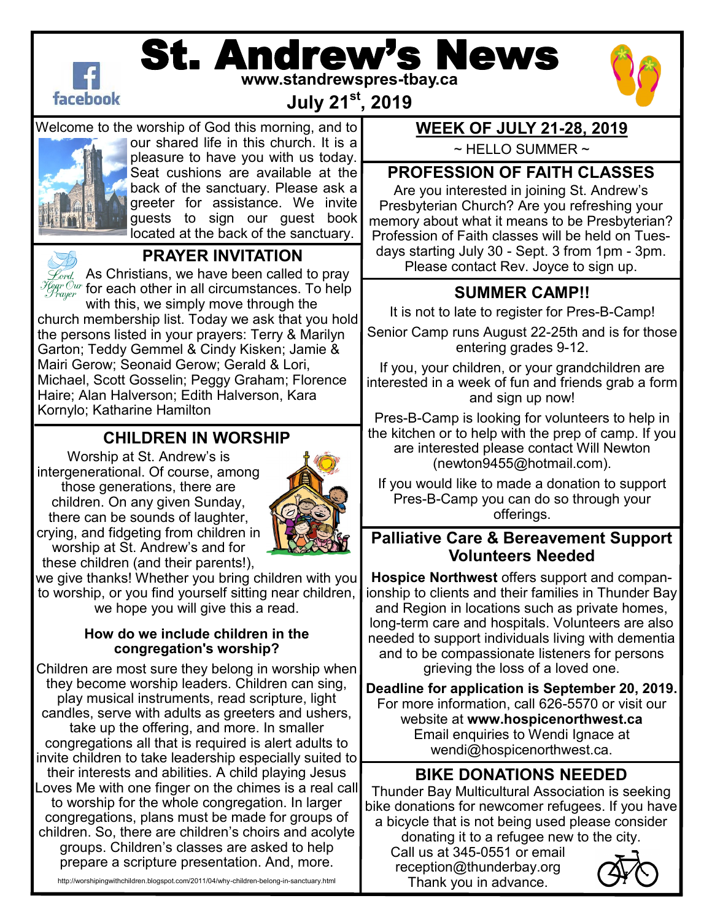

# St. Andrew's News **www.standrewspres-tbay.ca**



**July 21st, 2019**

Welcome to the worship of God this morning, and to our shared life in this church. It is a

pleasure to have you with us today. Seat cushions are available at the back of the sanctuary. Please ask a greeter for assistance. We invite guests to sign our guest book located at the back of the sanctuary.



### **PRAYER INVITATION**

 $\mathscr{L}_{\mathit{ord}}$  As Christians, we have been called to pray  $\frac{\mathcal{F}_{\textit{fear Our}}}{\mathcal{F}_{\textit{rauer}}}$  for each other in all circumstances. To help

with this, we simply move through the church membership list. Today we ask that you hold the persons listed in your prayers: Terry & Marilyn Garton; Teddy Gemmel & Cindy Kisken; Jamie & Mairi Gerow; Seonaid Gerow; Gerald & Lori, Michael, Scott Gosselin; Peggy Graham; Florence Haire; Alan Halverson; Edith Halverson, Kara Kornylo; Katharine Hamilton

### **CHILDREN IN WORSHIP**

Worship at St. Andrew's is intergenerational. Of course, among those generations, there are children. On any given Sunday, there can be sounds of laughter, crying, and fidgeting from children in worship at St. Andrew's and for these children (and their parents!),



we give thanks! Whether you bring children with you to worship, or you find yourself sitting near children, we hope you will give this a read.

#### **How do we include children in the congregation's worship?**

Children are most sure they belong in worship when they become worship leaders. Children can sing, play musical instruments, read scripture, light candles, serve with adults as greeters and ushers, take up the offering, and more. In smaller congregations all that is required is alert adults to invite children to take leadership especially suited to their interests and abilities. A child playing Jesus Loves Me with one finger on the chimes is a real call to worship for the whole congregation. In larger congregations, plans must be made for groups of children. So, there are children's choirs and acolyte

groups. Children's classes are asked to help prepare a scripture presentation. And, more.

http://worshipingwithchildren.blogspot.com/2011/04/why-children-belong-in-sanctuary.html

### **WEEK OF JULY 21-28, 2019**

 $\sim$  HELLO SUMMER  $\sim$ 

#### **PROFESSION OF FAITH CLASSES**

Are you interested in joining St. Andrew's Presbyterian Church? Are you refreshing your memory about what it means to be Presbyterian? Profession of Faith classes will be held on Tuesdays starting July 30 - Sept. 3 from 1pm - 3pm. Please contact Rev. Joyce to sign up.

### **SUMMER CAMP!!**

It is not to late to register for Pres-B-Camp!

Senior Camp runs August 22-25th and is for those entering grades 9-12.

If you, your children, or your grandchildren are interested in a week of fun and friends grab a form and sign up now!

Pres-B-Camp is looking for volunteers to help in the kitchen or to help with the prep of camp. If you are interested please contact Will Newton (newton9455@hotmail.com).

If you would like to made a donation to support Pres-B-Camp you can do so through your offerings.

### **Palliative Care & Bereavement Support Volunteers Needed**

**Hospice Northwest** offers support and companionship to clients and their families in Thunder Bay and Region in locations such as private homes, long-term care and hospitals. Volunteers are also needed to support individuals living with dementia and to be compassionate listeners for persons grieving the loss of a loved one.

**Deadline for application is September 20, 2019.**  For more information, call 626-5570 or visit our website at **www.hospicenorthwest.ca**  Email enquiries to Wendi Ignace at wendi@hospicenorthwest.ca.

## **BIKE DONATIONS NEEDED**

Thunder Bay Multicultural Association is seeking bike donations for newcomer refugees. If you have a bicycle that is not being used please consider donating it to a refugee new to the city.

Call us at 345-0551 or email [reception@thunderbay.org](mailto:reception@thunderbay.org) Thank you in advance.